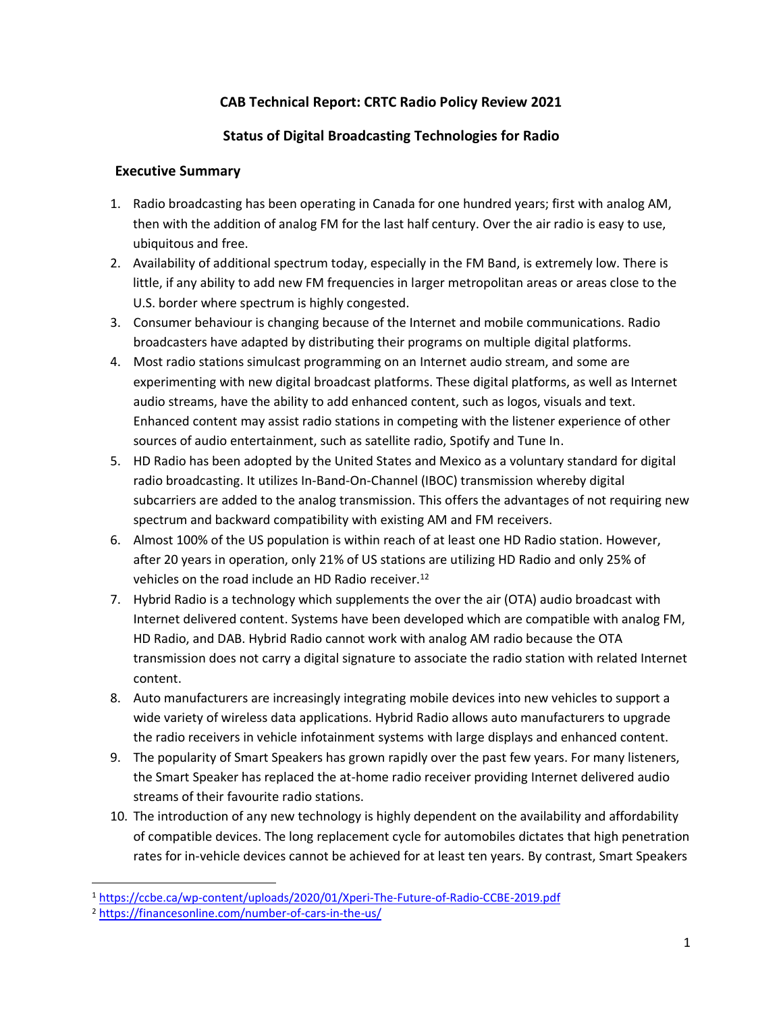# **CAB Technical Report: CRTC Radio Policy Review 2021**

# **Status of Digital Broadcasting Technologies for Radio**

## **Executive Summary**

- 1. Radio broadcasting has been operating in Canada for one hundred years; first with analog AM, then with the addition of analog FM for the last half century. Over the air radio is easy to use, ubiquitous and free.
- 2. Availability of additional spectrum today, especially in the FM Band, is extremely low. There is little, if any ability to add new FM frequencies in larger metropolitan areas or areas close to the U.S. border where spectrum is highly congested.
- 3. Consumer behaviour is changing because of the Internet and mobile communications. Radio broadcasters have adapted by distributing their programs on multiple digital platforms.
- 4. Most radio stations simulcast programming on an Internet audio stream, and some are experimenting with new digital broadcast platforms. These digital platforms, as well as Internet audio streams, have the ability to add enhanced content, such as logos, visuals and text. Enhanced content may assist radio stations in competing with the listener experience of other sources of audio entertainment, such as satellite radio, Spotify and Tune In.
- 5. HD Radio has been adopted by the United States and Mexico as a voluntary standard for digital radio broadcasting. It utilizes In-Band-On-Channel (IBOC) transmission whereby digital subcarriers are added to the analog transmission. This offers the advantages of not requiring new spectrum and backward compatibility with existing AM and FM receivers.
- 6. Almost 100% of the US population is within reach of at least one HD Radio station. However, after 20 years in operation, only 21% of US stations are utilizing HD Radio and only 25% of vehicles on the road include an HD Radio receiver.<sup>12</sup>
- 7. Hybrid Radio is a technology which supplements the over the air (OTA) audio broadcast with Internet delivered content. Systems have been developed which are compatible with analog FM, HD Radio, and DAB. Hybrid Radio cannot work with analog AM radio because the OTA transmission does not carry a digital signature to associate the radio station with related Internet content.
- 8. Auto manufacturers are increasingly integrating mobile devices into new vehicles to support a wide variety of wireless data applications. Hybrid Radio allows auto manufacturers to upgrade the radio receivers in vehicle infotainment systems with large displays and enhanced content.
- 9. The popularity of Smart Speakers has grown rapidly over the past few years. For many listeners, the Smart Speaker has replaced the at-home radio receiver providing Internet delivered audio streams of their favourite radio stations.
- 10. The introduction of any new technology is highly dependent on the availability and affordability of compatible devices. The long replacement cycle for automobiles dictates that high penetration rates for in-vehicle devices cannot be achieved for at least ten years. By contrast, Smart Speakers

<sup>1</sup> <https://ccbe.ca/wp-content/uploads/2020/01/Xperi-The-Future-of-Radio-CCBE-2019.pdf>

<sup>2</sup> <https://financesonline.com/number-of-cars-in-the-us/>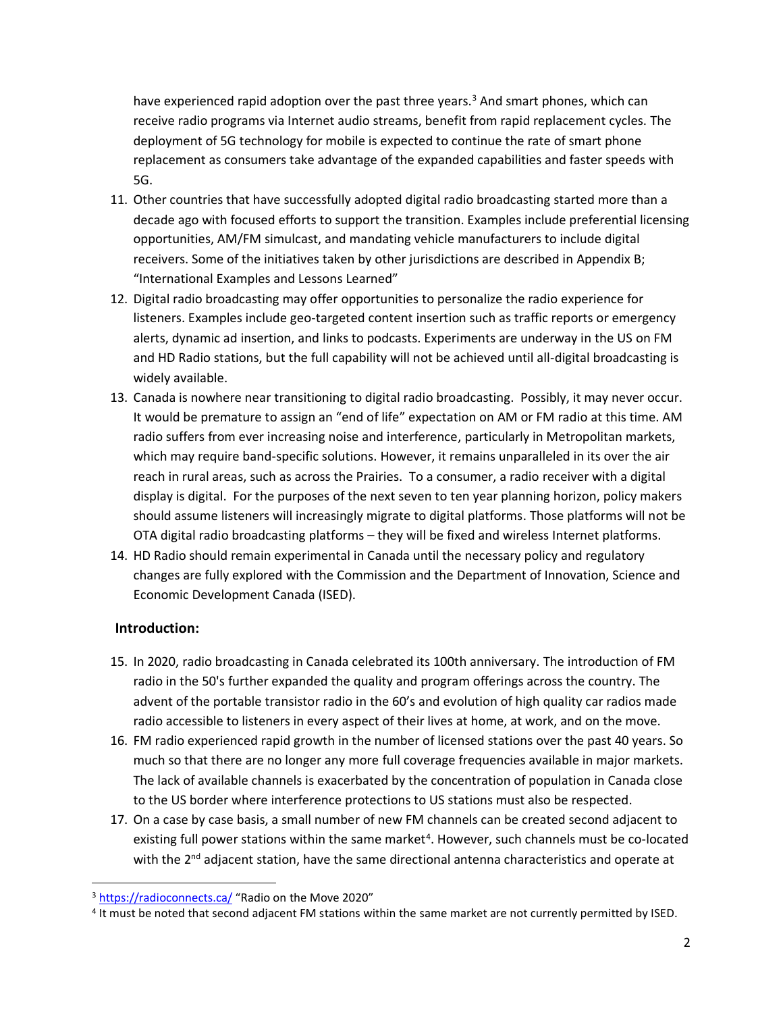have experienced rapid adoption over the past three years.<sup>3</sup> And smart phones, which can receive radio programs via Internet audio streams, benefit from rapid replacement cycles. The deployment of 5G technology for mobile is expected to continue the rate of smart phone replacement as consumers take advantage of the expanded capabilities and faster speeds with 5G.

- 11. Other countries that have successfully adopted digital radio broadcasting started more than a decade ago with focused efforts to support the transition. Examples include preferential licensing opportunities, AM/FM simulcast, and mandating vehicle manufacturers to include digital receivers. Some of the initiatives taken by other jurisdictions are described in Appendix B; "International Examples and Lessons Learned"
- 12. Digital radio broadcasting may offer opportunities to personalize the radio experience for listeners. Examples include geo-targeted content insertion such as traffic reports or emergency alerts, dynamic ad insertion, and links to podcasts. Experiments are underway in the US on FM and HD Radio stations, but the full capability will not be achieved until all-digital broadcasting is widely available.
- 13. Canada is nowhere near transitioning to digital radio broadcasting. Possibly, it may never occur. It would be premature to assign an "end of life" expectation on AM or FM radio at this time. AM radio suffers from ever increasing noise and interference, particularly in Metropolitan markets, which may require band-specific solutions. However, it remains unparalleled in its over the air reach in rural areas, such as across the Prairies. To a consumer, a radio receiver with a digital display is digital. For the purposes of the next seven to ten year planning horizon, policy makers should assume listeners will increasingly migrate to digital platforms. Those platforms will not be OTA digital radio broadcasting platforms – they will be fixed and wireless Internet platforms.
- 14. HD Radio should remain experimental in Canada until the necessary policy and regulatory changes are fully explored with the Commission and the Department of Innovation, Science and Economic Development Canada (ISED).

# **Introduction:**

- 15. In 2020, radio broadcasting in Canada celebrated its 100th anniversary. The introduction of FM radio in the 50's further expanded the quality and program offerings across the country. The advent of the portable transistor radio in the 60's and evolution of high quality car radios made radio accessible to listeners in every aspect of their lives at home, at work, and on the move.
- 16. FM radio experienced rapid growth in the number of licensed stations over the past 40 years. So much so that there are no longer any more full coverage frequencies available in major markets. The lack of available channels is exacerbated by the concentration of population in Canada close to the US border where interference protections to US stations must also be respected.
- 17. On a case by case basis, a small number of new FM channels can be created second adjacent to existing full power stations within the same market<sup>4</sup>. However, such channels must be co-located with the  $2^{nd}$  adjacent station, have the same directional antenna characteristics and operate at

<sup>3</sup> <https://radioconnects.ca/> "Radio on the Move 2020"

<sup>4</sup> It must be noted that second adjacent FM stations within the same market are not currently permitted by ISED.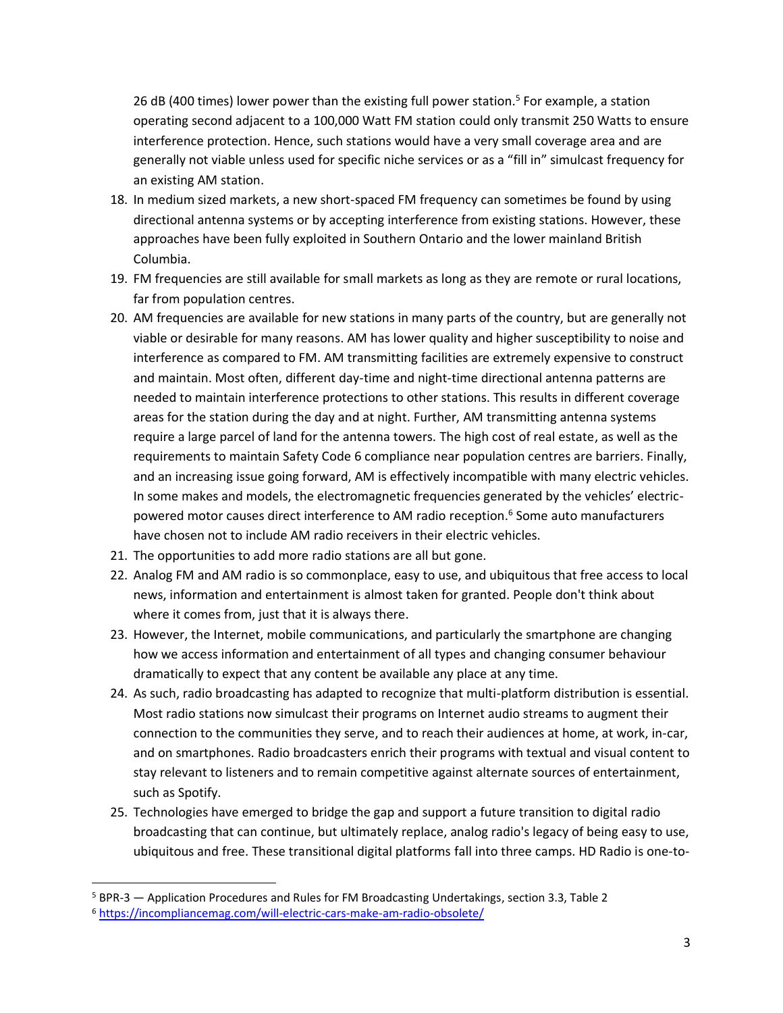26 dB (400 times) lower power than the existing full power station.<sup>5</sup> For example, a station operating second adjacent to a 100,000 Watt FM station could only transmit 250 Watts to ensure interference protection. Hence, such stations would have a very small coverage area and are generally not viable unless used for specific niche services or as a "fill in" simulcast frequency for an existing AM station.

- 18. In medium sized markets, a new short-spaced FM frequency can sometimes be found by using directional antenna systems or by accepting interference from existing stations. However, these approaches have been fully exploited in Southern Ontario and the lower mainland British Columbia.
- 19. FM frequencies are still available for small markets as long as they are remote or rural locations, far from population centres.
- 20. AM frequencies are available for new stations in many parts of the country, but are generally not viable or desirable for many reasons. AM has lower quality and higher susceptibility to noise and interference as compared to FM. AM transmitting facilities are extremely expensive to construct and maintain. Most often, different day-time and night-time directional antenna patterns are needed to maintain interference protections to other stations. This results in different coverage areas for the station during the day and at night. Further, AM transmitting antenna systems require a large parcel of land for the antenna towers. The high cost of real estate, as well as the requirements to maintain Safety Code 6 compliance near population centres are barriers. Finally, and an increasing issue going forward, AM is effectively incompatible with many electric vehicles. In some makes and models, the electromagnetic frequencies generated by the vehicles' electricpowered motor causes direct interference to AM radio reception. <sup>6</sup> Some auto manufacturers have chosen not to include AM radio receivers in their electric vehicles.
- 21. The opportunities to add more radio stations are all but gone.
- 22. Analog FM and AM radio is so commonplace, easy to use, and ubiquitous that free access to local news, information and entertainment is almost taken for granted. People don't think about where it comes from, just that it is always there.
- 23. However, the Internet, mobile communications, and particularly the smartphone are changing how we access information and entertainment of all types and changing consumer behaviour dramatically to expect that any content be available any place at any time.
- 24. As such, radio broadcasting has adapted to recognize that multi-platform distribution is essential. Most radio stations now simulcast their programs on Internet audio streams to augment their connection to the communities they serve, and to reach their audiences at home, at work, in-car, and on smartphones. Radio broadcasters enrich their programs with textual and visual content to stay relevant to listeners and to remain competitive against alternate sources of entertainment, such as Spotify.
- 25. Technologies have emerged to bridge the gap and support a future transition to digital radio broadcasting that can continue, but ultimately replace, analog radio's legacy of being easy to use, ubiquitous and free. These transitional digital platforms fall into three camps. HD Radio is one-to-

<sup>5</sup> BPR-3 — Application Procedures and Rules for FM Broadcasting Undertakings, section 3.3, Table 2

<sup>6</sup> <https://incompliancemag.com/will-electric-cars-make-am-radio-obsolete/>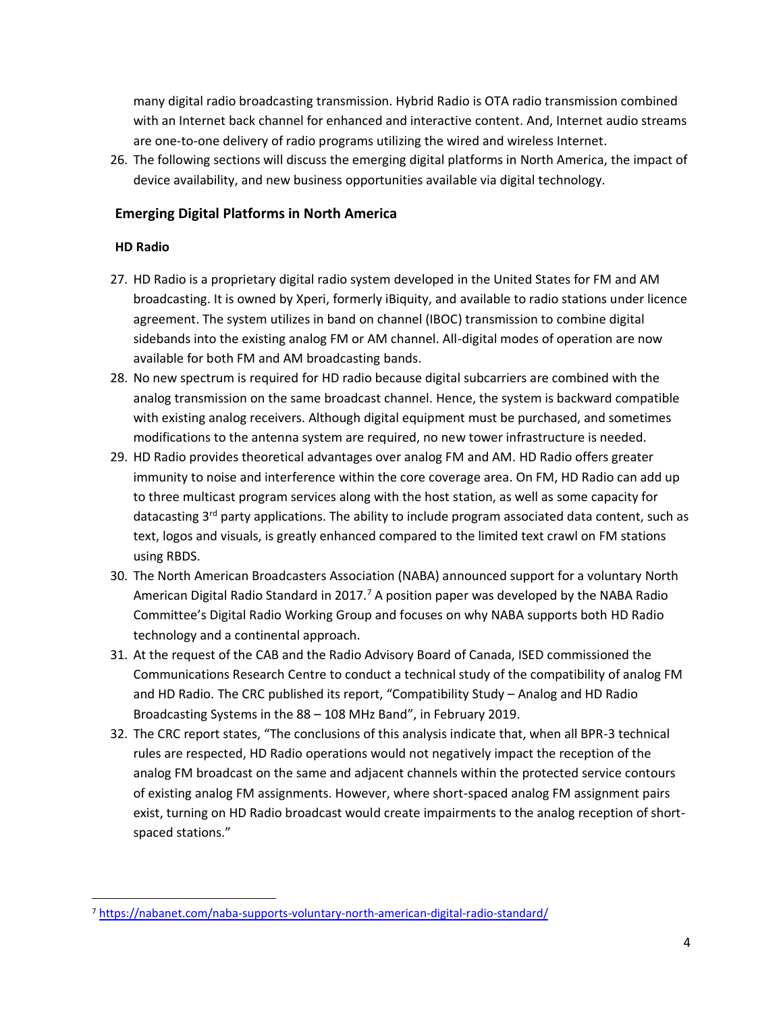many digital radio broadcasting transmission. Hybrid Radio is OTA radio transmission combined with an Internet back channel for enhanced and interactive content. And, Internet audio streams are one-to-one delivery of radio programs utilizing the wired and wireless Internet.

26. The following sections will discuss the emerging digital platforms in North America, the impact of device availability, and new business opportunities available via digital technology.

# **Emerging Digital Platforms in North America**

### **HD Radio**

- 27. HD Radio is a proprietary digital radio system developed in the United States for FM and AM broadcasting. It is owned by Xperi, formerly iBiquity, and available to radio stations under licence agreement. The system utilizes in band on channel (IBOC) transmission to combine digital sidebands into the existing analog FM or AM channel. All-digital modes of operation are now available for both FM and AM broadcasting bands.
- 28. No new spectrum is required for HD radio because digital subcarriers are combined with the analog transmission on the same broadcast channel. Hence, the system is backward compatible with existing analog receivers. Although digital equipment must be purchased, and sometimes modifications to the antenna system are required, no new tower infrastructure is needed.
- 29. HD Radio provides theoretical advantages over analog FM and AM. HD Radio offers greater immunity to noise and interference within the core coverage area. On FM, HD Radio can add up to three multicast program services along with the host station, as well as some capacity for datacasting  $3<sup>rd</sup>$  party applications. The ability to include program associated data content, such as text, logos and visuals, is greatly enhanced compared to the limited text crawl on FM stations using RBDS.
- 30. The North American Broadcasters Association (NABA) announced support for a voluntary North American Digital Radio Standard in 2017.<sup>7</sup> A position paper was developed by the NABA Radio Committee's Digital Radio Working Group and focuses on why NABA supports both HD Radio technology and a continental approach.
- 31. At the request of the CAB and the Radio Advisory Board of Canada, ISED commissioned the Communications Research Centre to conduct a technical study of the compatibility of analog FM and HD Radio. The CRC published its report, "Compatibility Study – Analog and HD Radio Broadcasting Systems in the 88 – 108 MHz Band", in February 2019.
- 32. The CRC report states, "The conclusions of this analysis indicate that, when all BPR-3 technical rules are respected, HD Radio operations would not negatively impact the reception of the analog FM broadcast on the same and adjacent channels within the protected service contours of existing analog FM assignments. However, where short-spaced analog FM assignment pairs exist, turning on HD Radio broadcast would create impairments to the analog reception of shortspaced stations."

<sup>7</sup> <https://nabanet.com/naba-supports-voluntary-north-american-digital-radio-standard/>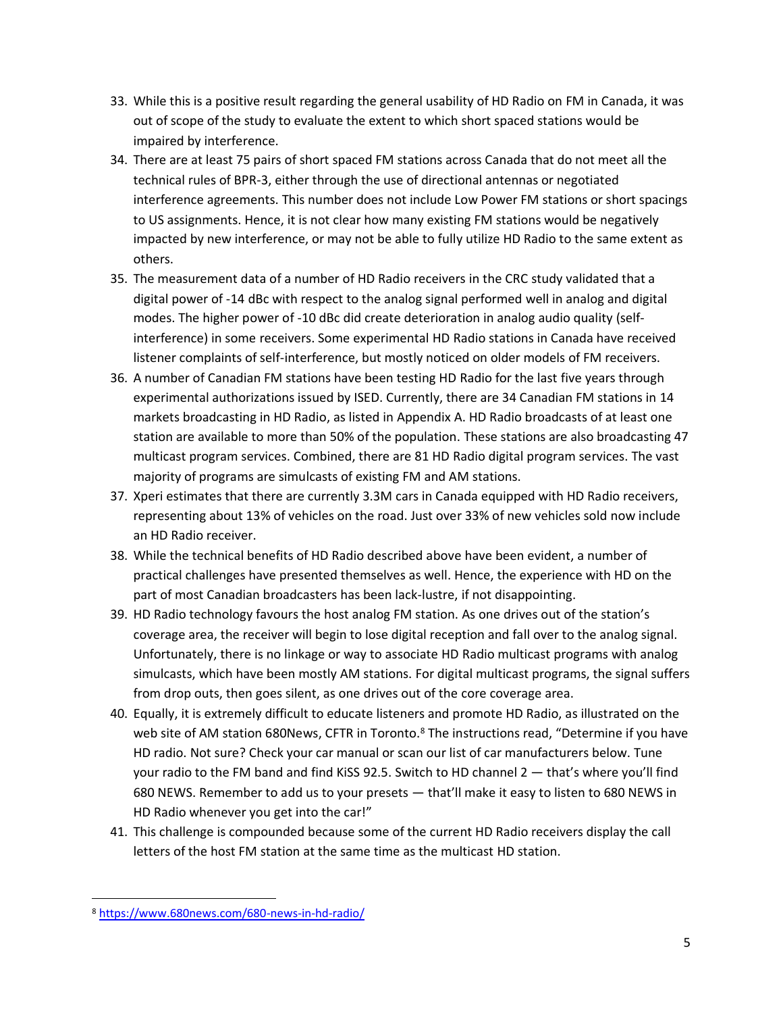- 33. While this is a positive result regarding the general usability of HD Radio on FM in Canada, it was out of scope of the study to evaluate the extent to which short spaced stations would be impaired by interference.
- 34. There are at least 75 pairs of short spaced FM stations across Canada that do not meet all the technical rules of BPR-3, either through the use of directional antennas or negotiated interference agreements. This number does not include Low Power FM stations or short spacings to US assignments. Hence, it is not clear how many existing FM stations would be negatively impacted by new interference, or may not be able to fully utilize HD Radio to the same extent as others.
- 35. The measurement data of a number of HD Radio receivers in the CRC study validated that a digital power of -14 dBc with respect to the analog signal performed well in analog and digital modes. The higher power of -10 dBc did create deterioration in analog audio quality (selfinterference) in some receivers. Some experimental HD Radio stations in Canada have received listener complaints of self-interference, but mostly noticed on older models of FM receivers.
- 36. A number of Canadian FM stations have been testing HD Radio for the last five years through experimental authorizations issued by ISED. Currently, there are 34 Canadian FM stations in 14 markets broadcasting in HD Radio, as listed in Appendix A. HD Radio broadcasts of at least one station are available to more than 50% of the population. These stations are also broadcasting 47 multicast program services. Combined, there are 81 HD Radio digital program services. The vast majority of programs are simulcasts of existing FM and AM stations.
- 37. Xperi estimates that there are currently 3.3M cars in Canada equipped with HD Radio receivers, representing about 13% of vehicles on the road. Just over 33% of new vehicles sold now include an HD Radio receiver.
- 38. While the technical benefits of HD Radio described above have been evident, a number of practical challenges have presented themselves as well. Hence, the experience with HD on the part of most Canadian broadcasters has been lack-lustre, if not disappointing.
- 39. HD Radio technology favours the host analog FM station. As one drives out of the station's coverage area, the receiver will begin to lose digital reception and fall over to the analog signal. Unfortunately, there is no linkage or way to associate HD Radio multicast programs with analog simulcasts, which have been mostly AM stations. For digital multicast programs, the signal suffers from drop outs, then goes silent, as one drives out of the core coverage area.
- 40. Equally, it is extremely difficult to educate listeners and promote HD Radio, as illustrated on the web site of AM station 680News, CFTR in Toronto.<sup>8</sup> The instructions read, "Determine if you have HD radio. Not sure? Check your car manual or scan our list of car manufacturers below. Tune your radio to the FM band and find KiSS 92.5. Switch to HD channel 2 — that's where you'll find 680 NEWS. Remember to add us to your presets — that'll make it easy to listen to 680 NEWS in HD Radio whenever you get into the car!"
- 41. This challenge is compounded because some of the current HD Radio receivers display the call letters of the host FM station at the same time as the multicast HD station.

<sup>8</sup> <https://www.680news.com/680-news-in-hd-radio/>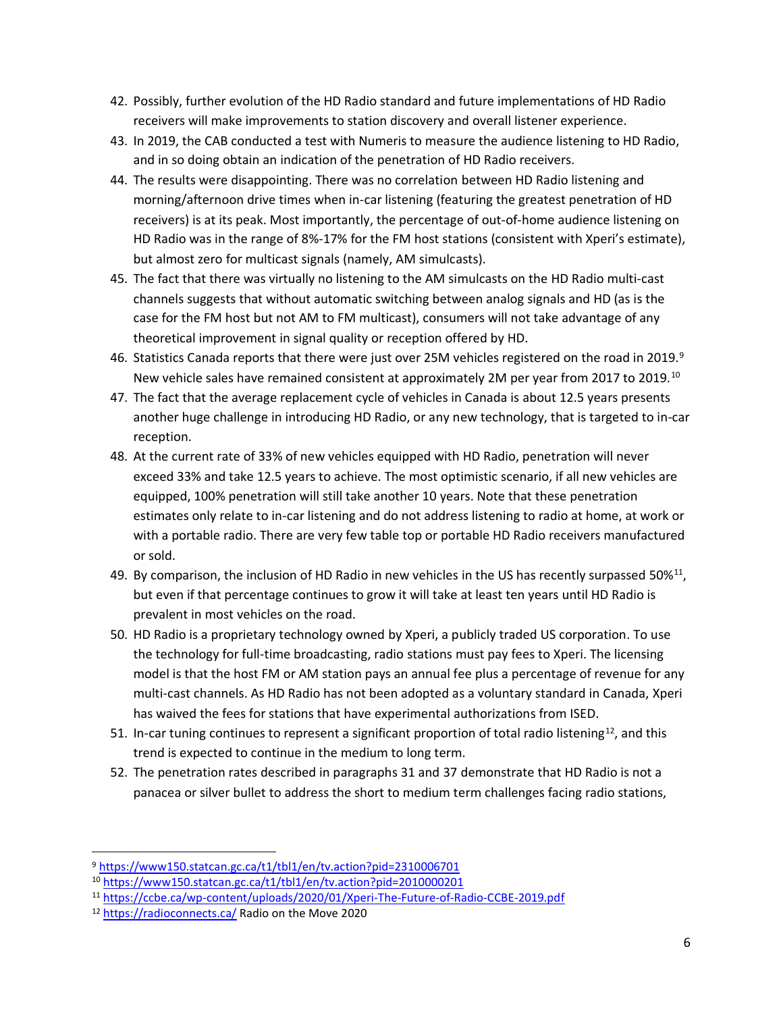- 42. Possibly, further evolution of the HD Radio standard and future implementations of HD Radio receivers will make improvements to station discovery and overall listener experience.
- 43. In 2019, the CAB conducted a test with Numeris to measure the audience listening to HD Radio, and in so doing obtain an indication of the penetration of HD Radio receivers.
- 44. The results were disappointing. There was no correlation between HD Radio listening and morning/afternoon drive times when in-car listening (featuring the greatest penetration of HD receivers) is at its peak. Most importantly, the percentage of out-of-home audience listening on HD Radio was in the range of 8%-17% for the FM host stations (consistent with Xperi's estimate), but almost zero for multicast signals (namely, AM simulcasts).
- 45. The fact that there was virtually no listening to the AM simulcasts on the HD Radio multi-cast channels suggests that without automatic switching between analog signals and HD (as is the case for the FM host but not AM to FM multicast), consumers will not take advantage of any theoretical improvement in signal quality or reception offered by HD.
- 46. Statistics Canada reports that there were just over 25M vehicles registered on the road in 2019.<sup>9</sup> New vehicle sales have remained consistent at approximately 2M per year from 2017 to 2019.<sup>10</sup>
- 47. The fact that the average replacement cycle of vehicles in Canada is about 12.5 years presents another huge challenge in introducing HD Radio, or any new technology, that is targeted to in-car reception.
- 48. At the current rate of 33% of new vehicles equipped with HD Radio, penetration will never exceed 33% and take 12.5 years to achieve. The most optimistic scenario, if all new vehicles are equipped, 100% penetration will still take another 10 years. Note that these penetration estimates only relate to in-car listening and do not address listening to radio at home, at work or with a portable radio. There are very few table top or portable HD Radio receivers manufactured or sold.
- 49. By comparison, the inclusion of HD Radio in new vehicles in the US has recently surpassed 50% $^{11}$ , but even if that percentage continues to grow it will take at least ten years until HD Radio is prevalent in most vehicles on the road.
- 50. HD Radio is a proprietary technology owned by Xperi, a publicly traded US corporation. To use the technology for full-time broadcasting, radio stations must pay fees to Xperi. The licensing model is that the host FM or AM station pays an annual fee plus a percentage of revenue for any multi-cast channels. As HD Radio has not been adopted as a voluntary standard in Canada, Xperi has waived the fees for stations that have experimental authorizations from ISED.
- 51. In-car tuning continues to represent a significant proportion of total radio listening<sup>12</sup>, and this trend is expected to continue in the medium to long term.
- 52. The penetration rates described in paragraphs 31 and 37 demonstrate that HD Radio is not a panacea or silver bullet to address the short to medium term challenges facing radio stations,

<sup>9</sup> <https://www150.statcan.gc.ca/t1/tbl1/en/tv.action?pid=2310006701>

<sup>10</sup> <https://www150.statcan.gc.ca/t1/tbl1/en/tv.action?pid=2010000201>

<sup>11</sup> <https://ccbe.ca/wp-content/uploads/2020/01/Xperi-The-Future-of-Radio-CCBE-2019.pdf>

<sup>12</sup> <https://radioconnects.ca/> Radio on the Move 2020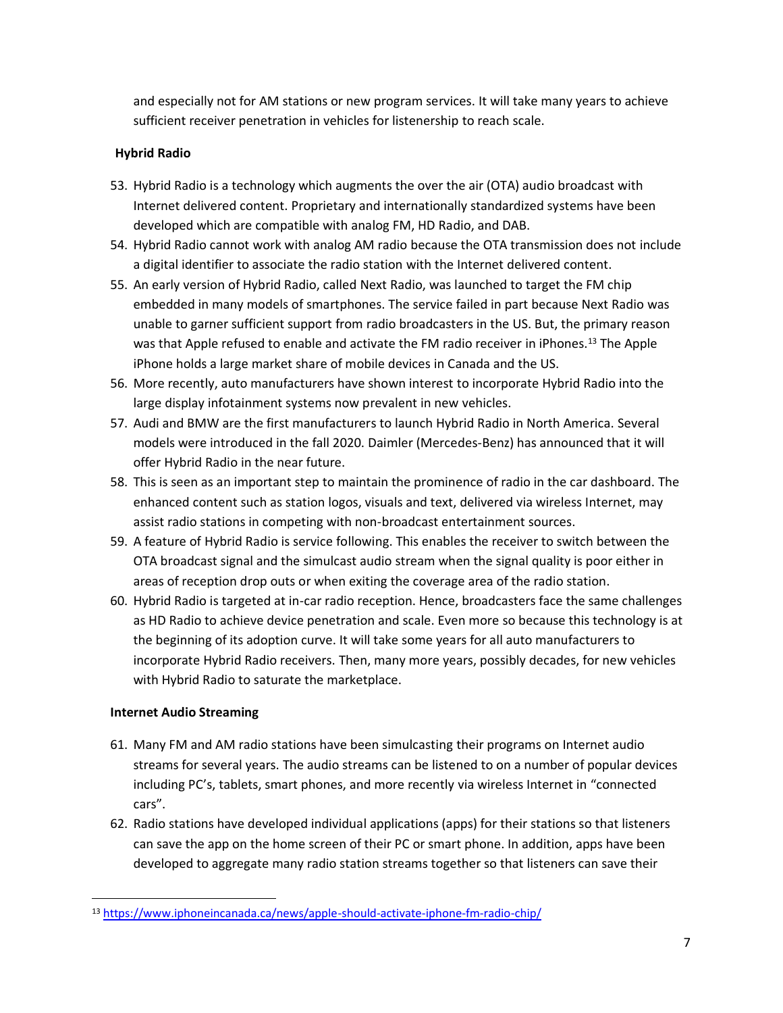and especially not for AM stations or new program services. It will take many years to achieve sufficient receiver penetration in vehicles for listenership to reach scale.

# **Hybrid Radio**

- 53. Hybrid Radio is a technology which augments the over the air (OTA) audio broadcast with Internet delivered content. Proprietary and internationally standardized systems have been developed which are compatible with analog FM, HD Radio, and DAB.
- 54. Hybrid Radio cannot work with analog AM radio because the OTA transmission does not include a digital identifier to associate the radio station with the Internet delivered content.
- 55. An early version of Hybrid Radio, called Next Radio, was launched to target the FM chip embedded in many models of smartphones. The service failed in part because Next Radio was unable to garner sufficient support from radio broadcasters in the US. But, the primary reason was that Apple refused to enable and activate the FM radio receiver in iPhones.<sup>13</sup> The Apple iPhone holds a large market share of mobile devices in Canada and the US.
- 56. More recently, auto manufacturers have shown interest to incorporate Hybrid Radio into the large display infotainment systems now prevalent in new vehicles.
- 57. Audi and BMW are the first manufacturers to launch Hybrid Radio in North America. Several models were introduced in the fall 2020. Daimler (Mercedes-Benz) has announced that it will offer Hybrid Radio in the near future.
- 58. This is seen as an important step to maintain the prominence of radio in the car dashboard. The enhanced content such as station logos, visuals and text, delivered via wireless Internet, may assist radio stations in competing with non-broadcast entertainment sources.
- 59. A feature of Hybrid Radio is service following. This enables the receiver to switch between the OTA broadcast signal and the simulcast audio stream when the signal quality is poor either in areas of reception drop outs or when exiting the coverage area of the radio station.
- 60. Hybrid Radio is targeted at in-car radio reception. Hence, broadcasters face the same challenges as HD Radio to achieve device penetration and scale. Even more so because this technology is at the beginning of its adoption curve. It will take some years for all auto manufacturers to incorporate Hybrid Radio receivers. Then, many more years, possibly decades, for new vehicles with Hybrid Radio to saturate the marketplace.

### **Internet Audio Streaming**

- 61. Many FM and AM radio stations have been simulcasting their programs on Internet audio streams for several years. The audio streams can be listened to on a number of popular devices including PC's, tablets, smart phones, and more recently via wireless Internet in "connected cars".
- 62. Radio stations have developed individual applications (apps) for their stations so that listeners can save the app on the home screen of their PC or smart phone. In addition, apps have been developed to aggregate many radio station streams together so that listeners can save their

<sup>13</sup> <https://www.iphoneincanada.ca/news/apple-should-activate-iphone-fm-radio-chip/>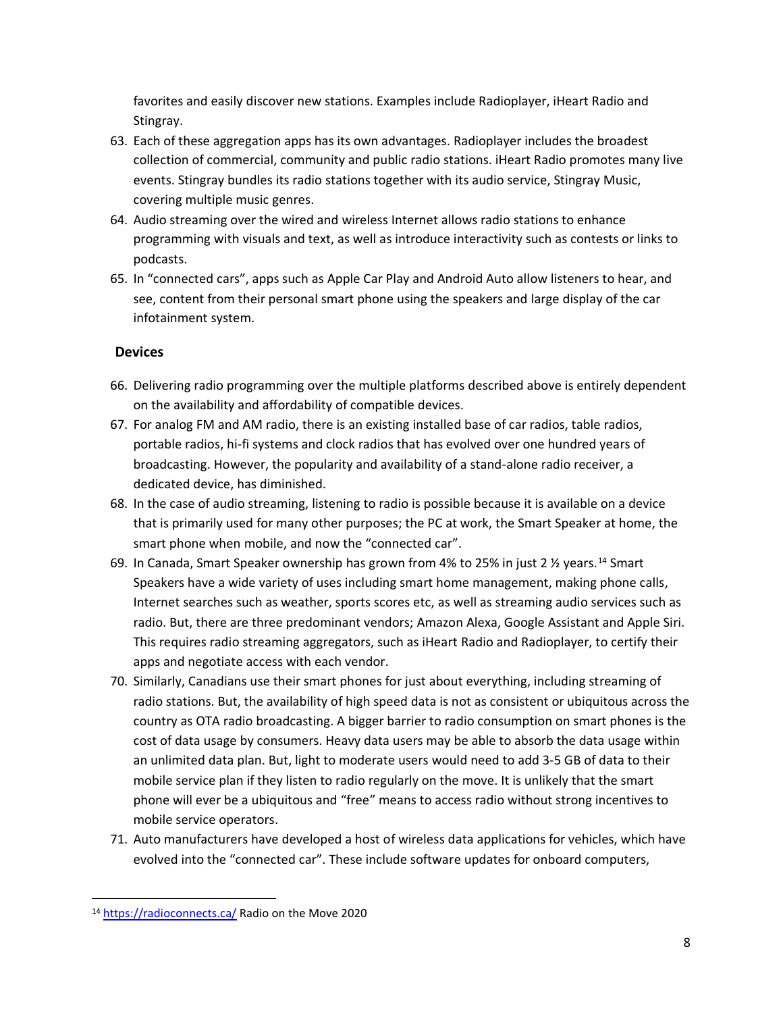favorites and easily discover new stations. Examples include Radioplayer, iHeart Radio and Stingray.

- 63. Each of these aggregation apps has its own advantages. Radioplayer includes the broadest collection of commercial, community and public radio stations. iHeart Radio promotes many live events. Stingray bundles its radio stations together with its audio service, Stingray Music, covering multiple music genres.
- 64. Audio streaming over the wired and wireless Internet allows radio stations to enhance programming with visuals and text, as well as introduce interactivity such as contests or links to podcasts.
- 65. In "connected cars", apps such as Apple Car Play and Android Auto allow listeners to hear, and see, content from their personal smart phone using the speakers and large display of the car infotainment system.

# **Devices**

- 66. Delivering radio programming over the multiple platforms described above is entirely dependent on the availability and affordability of compatible devices.
- 67. For analog FM and AM radio, there is an existing installed base of car radios, table radios, portable radios, hi-fi systems and clock radios that has evolved over one hundred years of broadcasting. However, the popularity and availability of a stand-alone radio receiver, a dedicated device, has diminished.
- 68. In the case of audio streaming, listening to radio is possible because it is available on a device that is primarily used for many other purposes; the PC at work, the Smart Speaker at home, the smart phone when mobile, and now the "connected car".
- 69. In Canada, Smart Speaker ownership has grown from 4% to 25% in just 2 ½ years.<sup>14</sup> Smart Speakers have a wide variety of uses including smart home management, making phone calls, Internet searches such as weather, sports scores etc, as well as streaming audio services such as radio. But, there are three predominant vendors; Amazon Alexa, Google Assistant and Apple Siri. This requires radio streaming aggregators, such as iHeart Radio and Radioplayer, to certify their apps and negotiate access with each vendor.
- 70. Similarly, Canadians use their smart phones for just about everything, including streaming of radio stations. But, the availability of high speed data is not as consistent or ubiquitous across the country as OTA radio broadcasting. A bigger barrier to radio consumption on smart phones is the cost of data usage by consumers. Heavy data users may be able to absorb the data usage within an unlimited data plan. But, light to moderate users would need to add 3-5 GB of data to their mobile service plan if they listen to radio regularly on the move. It is unlikely that the smart phone will ever be a ubiquitous and "free" means to access radio without strong incentives to mobile service operators.
- 71. Auto manufacturers have developed a host of wireless data applications for vehicles, which have evolved into the "connected car". These include software updates for onboard computers,

<sup>14</sup> <https://radioconnects.ca/> Radio on the Move 2020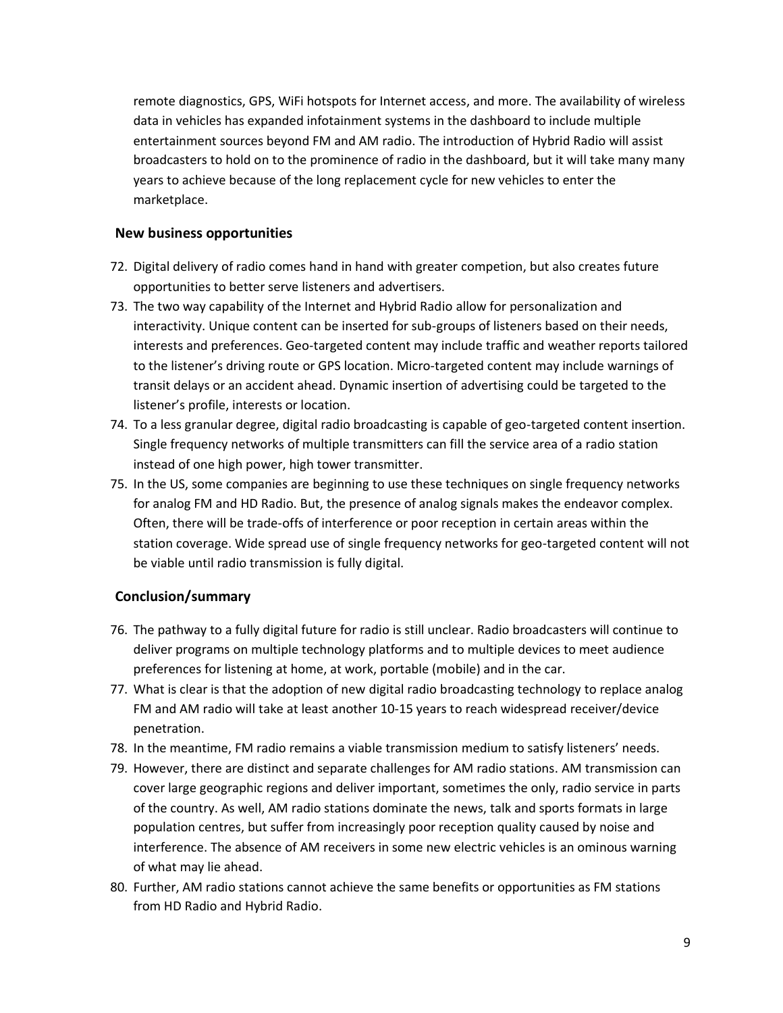remote diagnostics, GPS, WiFi hotspots for Internet access, and more. The availability of wireless data in vehicles has expanded infotainment systems in the dashboard to include multiple entertainment sources beyond FM and AM radio. The introduction of Hybrid Radio will assist broadcasters to hold on to the prominence of radio in the dashboard, but it will take many many years to achieve because of the long replacement cycle for new vehicles to enter the marketplace.

### **New business opportunities**

- 72. Digital delivery of radio comes hand in hand with greater competion, but also creates future opportunities to better serve listeners and advertisers.
- 73. The two way capability of the Internet and Hybrid Radio allow for personalization and interactivity. Unique content can be inserted for sub-groups of listeners based on their needs, interests and preferences. Geo-targeted content may include traffic and weather reports tailored to the listener's driving route or GPS location. Micro-targeted content may include warnings of transit delays or an accident ahead. Dynamic insertion of advertising could be targeted to the listener's profile, interests or location.
- 74. To a less granular degree, digital radio broadcasting is capable of geo-targeted content insertion. Single frequency networks of multiple transmitters can fill the service area of a radio station instead of one high power, high tower transmitter.
- 75. In the US, some companies are beginning to use these techniques on single frequency networks for analog FM and HD Radio. But, the presence of analog signals makes the endeavor complex. Often, there will be trade-offs of interference or poor reception in certain areas within the station coverage. Wide spread use of single frequency networks for geo-targeted content will not be viable until radio transmission is fully digital.

# **Conclusion/summary**

- 76. The pathway to a fully digital future for radio is still unclear. Radio broadcasters will continue to deliver programs on multiple technology platforms and to multiple devices to meet audience preferences for listening at home, at work, portable (mobile) and in the car.
- 77. What is clear is that the adoption of new digital radio broadcasting technology to replace analog FM and AM radio will take at least another 10-15 years to reach widespread receiver/device penetration.
- 78. In the meantime, FM radio remains a viable transmission medium to satisfy listeners' needs.
- 79. However, there are distinct and separate challenges for AM radio stations. AM transmission can cover large geographic regions and deliver important, sometimes the only, radio service in parts of the country. As well, AM radio stations dominate the news, talk and sports formats in large population centres, but suffer from increasingly poor reception quality caused by noise and interference. The absence of AM receivers in some new electric vehicles is an ominous warning of what may lie ahead.
- 80. Further, AM radio stations cannot achieve the same benefits or opportunities as FM stations from HD Radio and Hybrid Radio.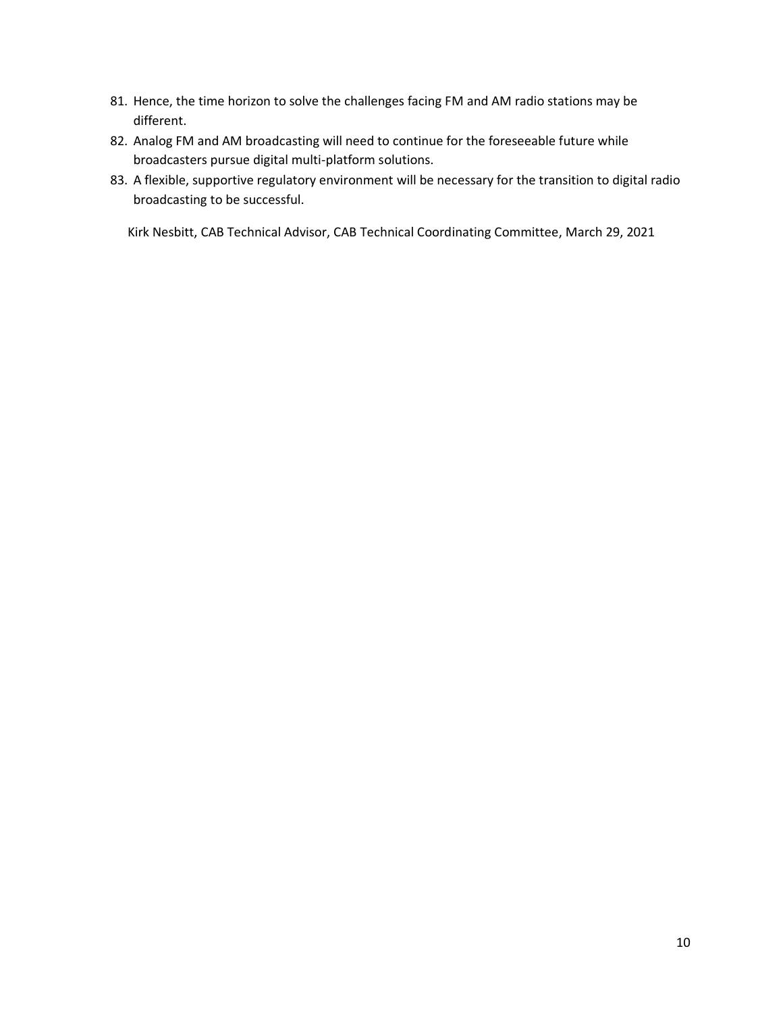- 81. Hence, the time horizon to solve the challenges facing FM and AM radio stations may be different.
- 82. Analog FM and AM broadcasting will need to continue for the foreseeable future while broadcasters pursue digital multi-platform solutions.
- 83. A flexible, supportive regulatory environment will be necessary for the transition to digital radio broadcasting to be successful.

Kirk Nesbitt, CAB Technical Advisor, CAB Technical Coordinating Committee, March 29, 2021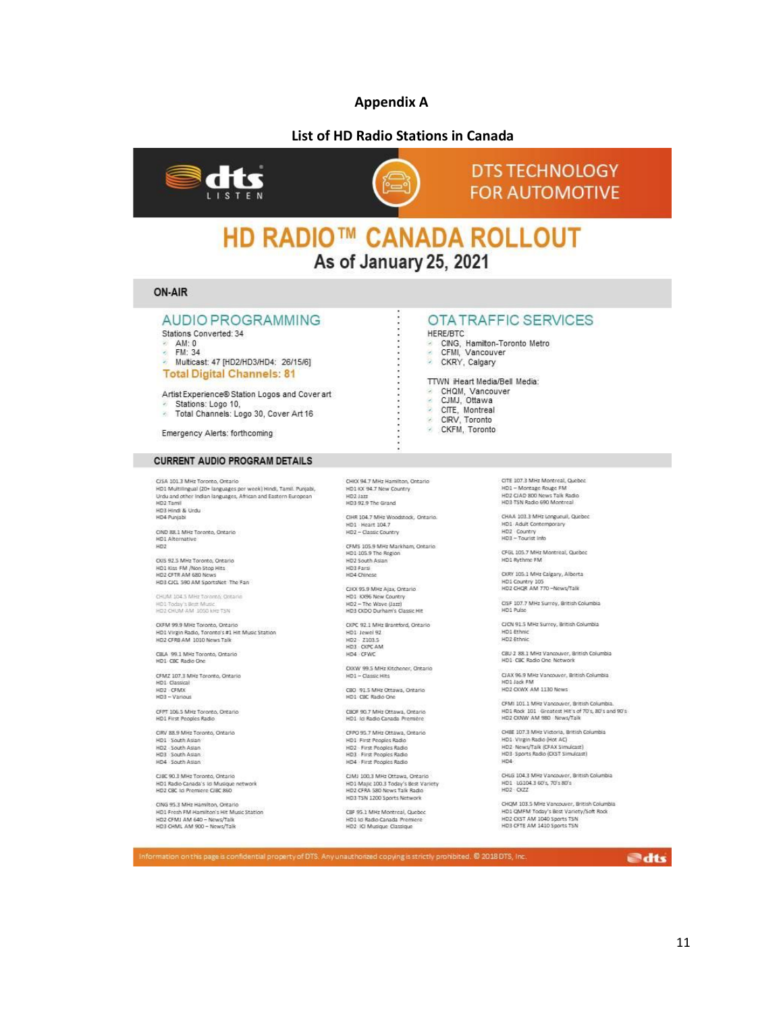### **Appendix A**

### **List of HD Radio Stations in Canada**





# **DTS TECHNOLOGY FOR AUTOMOTIVE**

# **HD RADIO™ CANADA ROLLOUT** As of January 25, 2021

### ON-AIR

### **AUDIO PROGRAMMING**

Stations Converted: 34

 $AM: 0$ 

FM: 34  $\overline{\mathcal{O}}$ 

Multicast: 47 [HD2/HD3/HD4: 26/15/6] **Total Digital Channels: 81** 

Artist Experience® Station Logos and Cover art

- Stations: Logo 10,
- Total Channels: Logo 30, Cover Art 16

Emergency Alerts: forthcoming

#### **CURRENT AUDIO PROGRAM DETAILS**

CISA 101.3 MHz Toronto, Ontario User aux.: Meriz Tourico, Unitario Specifical (Standish Particular Particular Units Units Units Units Units Units Units Units Units Units Units Units Units Units Units Units Units Units Units Units Units Units Units Units

CIND 88.1 MHz Toronto, Ontario HD1 Alternative  $HD2$ 

CKIS 92.5 MHz Toronto, Ontario UNS 32.3 MM2 TORONO, URNHO<br>HD1 Kiss FM /Non Stop Hits<br>HD2 CFTR AM 680 News<br>HD3 CICL 590 AM SportsNet The Fan

CHUM 104 5 MHz Toronto, Ontario HD1 Today's Best Music<br>HD2 CHUM AM 1050 kHz TSN

OSFM 99.9 MHz Toronto, Ontario<br>HD1 Virgin Radio, Toronto's #1 Hit Music Station HD2 CFRB AM 1010 News Talk

CBLA 99.1 MHz Toronto, Ontario HD1, CRC Radio One

CFMZ 107.3 MHz Toronto, Ontario HD1 Classical<br>HD2 · CFMX<br>HD3 - Various

CFPT 106.5 MHz Toronto, Ontario<br>HD1 First Peoples Radio

CIRV 88.9 MHz Toronto, Ontario HD1 South Asian HD2 - South Asian HD3 South Asian HD4 South Asian

CJBC 90.3 MHz Toronto, Ontario<br>HD1 Radio Canada's Id Musique network<br>HD2 CBC Id Premiere CJBC 860

CING 95.3 MHz Hamilton, Ontario HD1 Fresh FM Hamilton's Hit Music Station HD2 CFMJ AM 640 - News/Talk<br>HD3 CHML AM 900 - News/Talk

CHKX 94.7 MHz Hamilton, Ontario HD1 KX 94.7 New Country HD2 Jazz<br>HD3 92.9 The Grand

CIHR 104.7 MHz Woodstock, Ontario. HD1 Heart 104.7 HD2 - Classic Country

CFMS 105.9 MHz Markham, Ontario HD1 105.9 The Region HD3 Farsi<br>HD4 Chinese

CIKX 95.9 MHz Alax, Ontario HD1 KX96 New Country<br>HD1 KX96 New Country<br>HD3 CKDO Durham's Classic Hit

CKPC 92.1 MHz Brantford, Ontario HD1 Jewel 92 HD2 2103.5<br>HD3 CKPC AM HD4 GWC

OXXW 99.5 MHz Kitchener, Ontario HD1 - Classic Hits

CBD 91.5 MHz Ottawa, Ontario<br>HD1 CBC Radio One

CBOF 90.7 MHz Ottawa, Ontario<br>HD1 Ici Radio Canada Première

CFPO 95.7 MHz Ottawa, Ontario HD1 First Peoples Radio HD2 - First Peoples Radio<br>HD3 - First Peoples Radio HD4 - First Peoples Radio

CIMI 100.3 MHz Ottawa, Ontario<br>HD1 Majic 100.3 Today's Best Variety<br>HD2 CFRA 580 News Talk Radio<br>HD3 TSN 1200 Sports Network

CBF 95.1 MHz Montreal, Quebec HD1 ld Radio Canada Premiere<br>HD2 ICI Musique Classique

#### OTA TRAFFIC SERVICES HERE/BTC

CING, Hamilton-Toronto Metro<br>CFMI, Vancouver  $\mathcal{L}$  $\epsilon$ CKRY, Calgary

TTWN iHeart Media/Bell Media:

- CHOM, Vancouver<br>
CHOM, Vancouver<br>
CJMJ, Ottawa<br>
CIRV, Toronto<br>
CKFM, Toronto
	-
	-
	-

CITE 107.3 MHz Montreal, Quebec HD1 - Montage Rouge FM HD2 CIAD 800 News Talk Radio<br>HD3 TSN Radio 690 Montreal

CHAA 103.3 MHz Longueuil, Quebec<br>HD1 Adult Contemporary HD2 Country<br>HD3 - Tourist into

CFGL 105.7 MHz Montreal, Quebec HD1 Rythme FM

OKRY 105.1 MHz Calgary, Alberta HD1 Country 105<br>HD2 CHQR AM 770-News/Talk

CISF 107.7 MHz Surrey, British Columbia<br>HD1 Pulse

CICN 91.5 MHz Surrey, British Columbia HD1 Ethnic<br>HD2 Ethnic

CBU 2 88.1 MHz Vancouver, British Columbia<br>HD1 CBC Radio One Network

CJAX 96.9 MHz Vancouver, British Columbia HD1 Jack FM<br>HD1 Jack FM<br>HD2 CXWX AM 1130 News

CFMI 101.1 MHz Vancouver, British Columbia. HD1 Rock 101 Greatest Hit's of 70's, 80's and 90's<br>HD2 COWV AM 980 News/Talk

CHRE 107 3 MHz Victoria, Reitish Columbia CHBE 107.3 MHZ Victoria, British Co<br>HD1. Virgin Radio (Hot AC)<br>HD2. News/Talk (CFAX Simulcast)<br>HD3. Sports Radio (CKST Simulcast) HD4

CHLG 104.3 MHz Vancouver, British Columbia HD1 UG104.3 60's, 70's 80's

CHQM 103.5 MHz Vancouver, British Columbia<br>HD1 QMFM Today's Best Variety/Soft Rook<br>HD2 OKST AM 1040 Sports TSN<br>HD3 CFTE AM 1410 Sports TSN

*edts*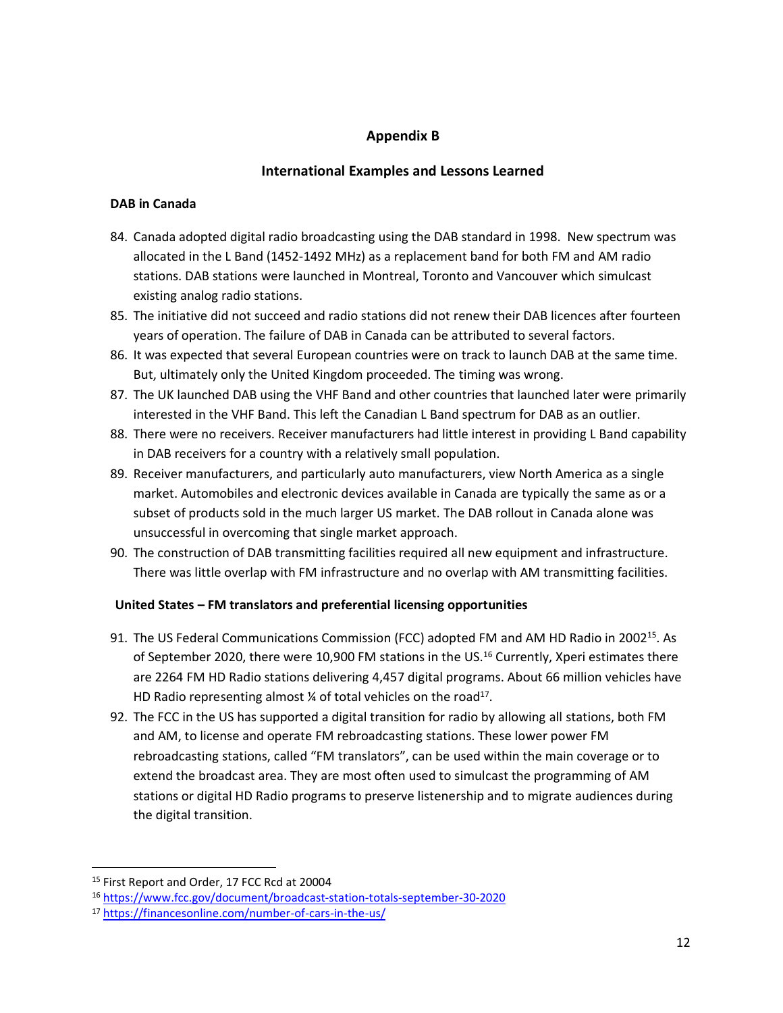# **Appendix B**

# **International Examples and Lessons Learned**

### **DAB in Canada**

- 84. Canada adopted digital radio broadcasting using the DAB standard in 1998. New spectrum was allocated in the L Band (1452-1492 MHz) as a replacement band for both FM and AM radio stations. DAB stations were launched in Montreal, Toronto and Vancouver which simulcast existing analog radio stations.
- 85. The initiative did not succeed and radio stations did not renew their DAB licences after fourteen years of operation. The failure of DAB in Canada can be attributed to several factors.
- 86. It was expected that several European countries were on track to launch DAB at the same time. But, ultimately only the United Kingdom proceeded. The timing was wrong.
- 87. The UK launched DAB using the VHF Band and other countries that launched later were primarily interested in the VHF Band. This left the Canadian L Band spectrum for DAB as an outlier.
- 88. There were no receivers. Receiver manufacturers had little interest in providing L Band capability in DAB receivers for a country with a relatively small population.
- 89. Receiver manufacturers, and particularly auto manufacturers, view North America as a single market. Automobiles and electronic devices available in Canada are typically the same as or a subset of products sold in the much larger US market. The DAB rollout in Canada alone was unsuccessful in overcoming that single market approach.
- 90. The construction of DAB transmitting facilities required all new equipment and infrastructure. There was little overlap with FM infrastructure and no overlap with AM transmitting facilities.

# **United States – FM translators and preferential licensing opportunities**

- 91. The US Federal Communications Commission (FCC) adopted FM and AM HD Radio in 2002<sup>15</sup>. As of September 2020, there were 10,900 FM stations in the US.<sup>16</sup> Currently, Xperi estimates there are 2264 FM HD Radio stations delivering 4,457 digital programs. About 66 million vehicles have HD Radio representing almost  $\frac{1}{4}$  of total vehicles on the road<sup>17</sup>.
- 92. The FCC in the US has supported a digital transition for radio by allowing all stations, both FM and AM, to license and operate FM rebroadcasting stations. These lower power FM rebroadcasting stations, called "FM translators", can be used within the main coverage or to extend the broadcast area. They are most often used to simulcast the programming of AM stations or digital HD Radio programs to preserve listenership and to migrate audiences during the digital transition.

<sup>15</sup> First Report and Order, 17 FCC Rcd at 20004

<sup>16</sup> <https://www.fcc.gov/document/broadcast-station-totals-september-30-2020>

<sup>17</sup> <https://financesonline.com/number-of-cars-in-the-us/>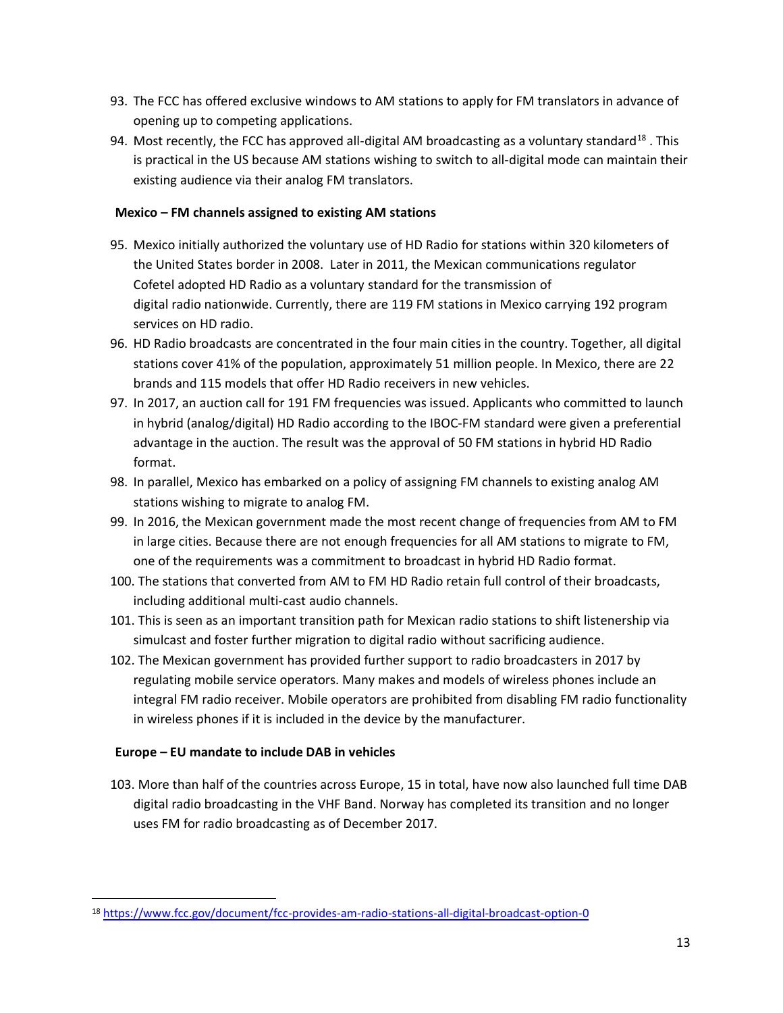- 93. The FCC has offered exclusive windows to AM stations to apply for FM translators in advance of opening up to competing applications.
- 94. Most recently, the FCC has approved all-digital AM broadcasting as a voluntary standard<sup>18</sup>. This is practical in the US because AM stations wishing to switch to all-digital mode can maintain their existing audience via their analog FM translators.

## **Mexico – FM channels assigned to existing AM stations**

- 95. Mexico initially authorized the voluntary use of HD Radio for stations within 320 kilometers of the United States border in 2008. Later in 2011, the Mexican communications regulator Cofetel adopted HD Radio as a voluntary standard for the transmission of digital radio nationwide. Currently, there are 119 FM stations in Mexico carrying 192 program services on HD radio.
- 96. HD Radio broadcasts are concentrated in the four main cities in the country. Together, all digital stations cover 41% of the population, approximately 51 million people. In Mexico, there are 22 brands and 115 models that offer HD Radio receivers in new vehicles.
- 97. In 2017, an auction call for 191 FM frequencies was issued. Applicants who committed to launch in hybrid (analog/digital) HD Radio according to the IBOC-FM standard were given a preferential advantage in the auction. The result was the approval of 50 FM stations in hybrid HD Radio format.
- 98. In parallel, Mexico has embarked on a policy of assigning FM channels to existing analog AM stations wishing to migrate to analog FM.
- 99. In 2016, the Mexican government made the most recent change of frequencies from AM to FM in large cities. Because there are not enough frequencies for all AM stations to migrate to FM, one of the requirements was a commitment to broadcast in hybrid HD Radio format.
- 100. The stations that converted from AM to FM HD Radio retain full control of their broadcasts, including additional multi-cast audio channels.
- 101. This is seen as an important transition path for Mexican radio stations to shift listenership via simulcast and foster further migration to digital radio without sacrificing audience.
- 102. The Mexican government has provided further support to radio broadcasters in 2017 by regulating mobile service operators. Many makes and models of wireless phones include an integral FM radio receiver. Mobile operators are prohibited from disabling FM radio functionality in wireless phones if it is included in the device by the manufacturer.

# **Europe – EU mandate to include DAB in vehicles**

103. More than half of the countries across Europe, 15 in total, have now also launched full time DAB digital radio broadcasting in the VHF Band. Norway has completed its transition and no longer uses FM for radio broadcasting as of December 2017.

<sup>18</sup> <https://www.fcc.gov/document/fcc-provides-am-radio-stations-all-digital-broadcast-option-0>